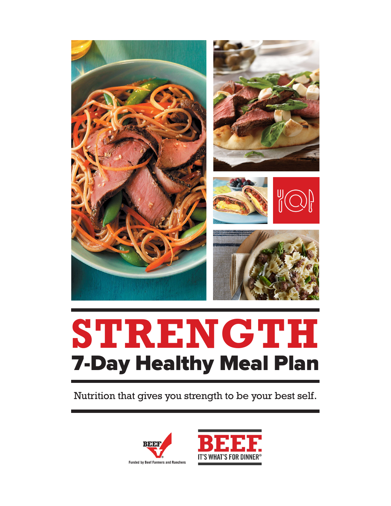

# **STRENGTH** 7-Day Healthy Meal Plan

Nutrition that gives you strength to be your best self.



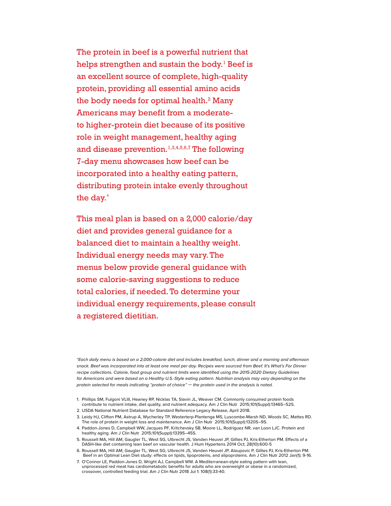The protein in beef is a powerful nutrient that helps strengthen and sustain the body. $^{\rm l}$  Beef is an excellent source of complete, high-quality protein, providing all essential amino acids the body needs for optimal health.<sup>2</sup> Many Americans may benefit from a moderateto higher-protein diet because of its positive role in weight management, healthy aging and disease prevention.<sup>1,3,4,5,6,7</sup> The following 7-day menu showcases how beef can be incorporated into a healthy eating pattern, distributing protein intake evenly throughout the day.\*

This meal plan is based on a 2,000 calorie/day diet and provides general guidance for a balanced diet to maintain a healthy weight. Individual energy needs may vary. The menus below provide general guidance with some calorie-saving suggestions to reduce total calories, if needed. To determine your individual energy requirements, please consult a registered dietitian.

*\*Each daily menu is based on a 2,000-calorie diet and includes breakfast, lunch, dinner and a morning and afternoon snack. Beef was incorporated into at least one meal per day. Recipes were sourced from Beef. It's What's For Dinner recipe collections. Calorie, food group and nutrient limits were identified using the 2015-2020 Dietary Guidelines*  for Americans and were based on a Healthy U.S.-Style eating pattern. Nutrition analysis may vary depending on the *protein selected for meals indicating "protein of choice" — the protein used in the analysis is noted.*

- 1. Phillips SM, Fulgoni VLIII, Heaney RP, Nicklas TA, Slavin JL, Weaver CM. Commonly consumed protein foods contribute to nutrient intake, diet quality, and nutrient adequacy. Am J Clin Nutr 2015;101(Suppl):1346S–52S.
- 2. USDA National Nutrient Database for Standard Reference Legacy Release, April 2018.
- 3. Leidy HJ, Clifton PM, Astrup A, Wycherley TP, Westerterp-Plantenga MS, Luscombe-Marsh ND, Woods SC, Mattes RD. The role of protein in weight loss and maintenance. Am J Clin Nutr 2015;101(Suppl):1320S–9S.
- 4. Paddon-Jones D, Campbell WW, Jacques PF, Kritchevsky SB, Moore LL, Rodriguez NR, van Loon LJC. Protein and healthy aging. Am J Clin Nutr 2015;101(Suppl):1339S–45S.
- 5. Roussell MA, Hill AM, Gaugler TL, West SG, Ulbrecht JS, Vanden Heuvel JP, Gillies PJ, Kris-Etherton PM. Effects of a DASH-like diet containing lean beef on vascular health. J Hum Hypertens 2014 Oct; 28(10):600-5
- 6. Roussell MA, Hill AM, Gaugler TL, West SG, Ulbrecht JS, Vanden Heuvel JP, Alaupovic P, Gillies PJ, Kris-Etherton PM. Beef in an Optimal Lean Diet study: effects on lipids, lipoproteins, and alipoproteins. Am J Clin Nutr 2012 Jan(1); 9-16.
- 7. O'Connor LE, Paddon-Jones D, Wright AJ, Campbell WW. A Mediterranean-style eating pattern with lean, unprocessed red meat has cardiometabolic benefits for adults who are overweight or obese in a randomized, crossover, controlled feeding trial. Am J Clin Nutr 2018 Jul 1: 108(1):33-40.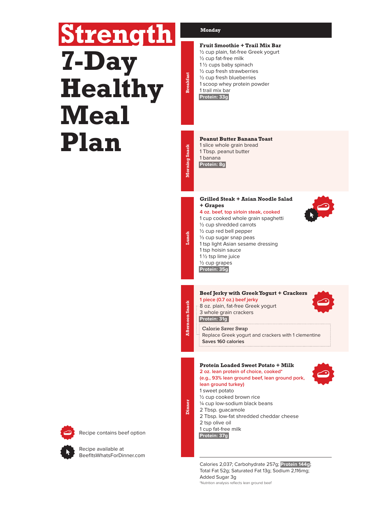# **Strength 7-Day Healthy Meal Plan**

#### **Monday**

### **Fruit Smoothie + Trail Mix Bar**

½ cup plain, fat-free Greek yogurt

- ½ cup fat-free milk 1 ½ cups baby spinach
- ½ cup fresh strawberries
- ½ cup fresh blueberries
- 1 scoop whey protein powder 1 trail mix bar

**Protein: 33g**

**Morning Snack Breakfast**

Morning Snack

**Breakfast** 

**Afternoon Snack Lunch**

**Afternoon** Snack

lanch

**Dinner**

#### **Peanut Butter Banana Toast**

- 1 slice whole grain bread
- 1 Tbsp. peanut butter

1 banana **Protein: 8g**

#### **Grilled Steak + Asian Noodle Salad + Grapes**

- **4 oz. beef, top sirloin steak, cooked** 1 cup cooked whole grain spaghetti ½ cup shredded carrots
- ½ cup red bell pepper ⅓ cup sugar snap peas 1 tsp light Asian sesame dressing 1 tsp hoisin sauce 1 ½ tsp lime juice ½ cup grapes **Protein: 35g**

#### **Beef Jerky with Greek Yogurt + Crackers**

**1 piece (0.7 oz.) beef jerky** 8 oz. plain, fat-free Greek yogurt 3 whole grain crackers

**Protein: 31g**

Calorie Saver Swap Replace Greek yogurt and crackers with 1 clementine **Saves 160 calories**

#### **Protein Loaded Sweet Potato + Milk 2 oz. lean protein of choice, cooked\***

**(e.g., 93% lean ground beef, lean ground pork, lean ground turkey)** 1 sweet potato ½ cup cooked brown rice ¼ cup low-sodium black beans 2 Tbsp. guacamole 2 Tbsp. low-fat shredded cheddar cheese 2 tsp olive oil 1 cup fat-free milk **Protein: 37g**

Calories 2,037; Carbohydrate 257g; **Protein 144g**; Total Fat 52g; Saturated Fat 13g; Sodium 2,116mg; Added Sugar 3g \*Nutrition analysis reflects lean ground beef





Recipe contains beef option

Recipe available at BeefItsWhatsForDinner.com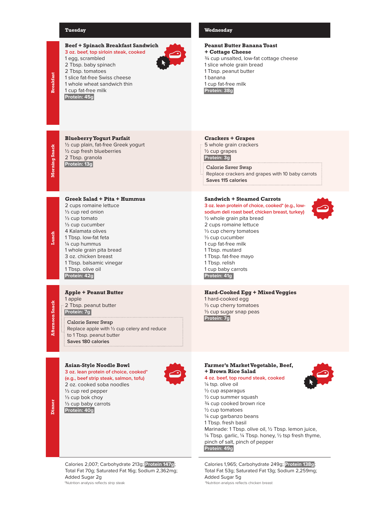#### **Tuesday Wednesday**

| <b>Breakfast</b>          | <b>Beef + Spinach Breakfast Sandwich</b><br>3 oz. beef, top sirloin steak, cooked<br>1 egg, scrambled<br>2 Tbsp. baby spinach<br>2 Tbsp. tomatoes<br>1 slice fat-free Swiss cheese<br>1 whole wheat sandwich thin<br>1 cup fat-free milk<br>Protein: 45g                                                                               | <b>Peanut Butter Banana</b><br>+ Cottage Cheese<br>3/4 cup unsalted, low-fat o<br>1 slice whole grain bread<br>1 Tbsp. peanut butter<br>1 banana<br>1 cup fat-free milk<br>Protein: 38g                                                                                                                                                        |
|---------------------------|----------------------------------------------------------------------------------------------------------------------------------------------------------------------------------------------------------------------------------------------------------------------------------------------------------------------------------------|------------------------------------------------------------------------------------------------------------------------------------------------------------------------------------------------------------------------------------------------------------------------------------------------------------------------------------------------|
| Morning Snack             | <b>Blueberry Yogurt Parfait</b><br>1/2 cup plain, fat-free Greek yogurt<br>1/2 cup fresh blueberries<br>2 Tbsp. granola<br>Protein: 13g                                                                                                                                                                                                | <b>Crackers + Grapes</b><br>: 5 whole grain crackers<br>1/2 cup grapes<br>Protein: 3g<br>Calorie Saver Swap<br>Replace crackers and gra<br>Saves 115 calories                                                                                                                                                                                  |
| Lunch                     | Greek Salad + Pita + Hummus<br>2 cups romaine lettuce<br>$\frac{1}{3}$ cup red onion<br>1/ <sub>3</sub> cup tomato<br>1/ <sub>3</sub> cup cucumber<br>4 Kalamata olives<br>1 Tbsp. low-fat feta<br>1/4 cup hummus<br>1 whole grain pita bread<br>3 oz. chicken breast<br>1 Tbsp. balsamic vinegar<br>1 Tbsp. olive oil<br>Protein: 42g | Sandwich + Steamed 0<br>3 oz. lean protein of choice<br>sodium deli roast beef, chio<br>1/2 whole grain pita breac<br>2 cups romaine lettuce<br>1/ <sub>3</sub> cup cherry tomatoes<br>1/ <sub>3</sub> cup cucumber<br>1 cup fat-free milk<br>1 Tbsp. mustard<br>1 Tbsp. fat-free mayo<br>1 Tbsp. relish<br>1 cup baby carrots<br>Protein: 41g |
| <b>iernoon</b> Snack<br>ৱ | <b>Apple + Peanut Butter</b><br>1 apple<br>: 2 Tbsp. peanut butter<br>Protein: 7g<br>Calorie Saver Swap<br>Replace apple with 1/2 cup celery and reduce<br>to 1 Tbsp. peanut butter<br>Saves 180 calories                                                                                                                              | <b>Hard-Cooked Egg + M</b><br>1 hard-cooked egg<br>1/ <sub>3</sub> cup cherry tomatoes<br>1/ <sub>3</sub> cup sugar snap peas<br>Protein: 7g                                                                                                                                                                                                   |
| ă                         | <b>Asian-Style Noodle Bowl</b><br>3 oz. lean protein of choice, cooked*<br>(e.g., beef strip steak, salmon, tofu)<br>2 oz. cooked soba noodles<br>$\frac{1}{3}$ cup red pepper<br>$\frac{1}{3}$ cup bok choy<br>1/ <sub>3</sub> cup baby carrots                                                                                       | <b>Farmer's Market Vege</b><br><b>+ Brown Rice Salad</b><br>4 oz. beef, top round stea<br>1/4 tsp. olive oil<br>1/2 cup asparagus<br>1/2 cup summer squash<br>3/4 cup cooked brown ric                                                                                                                                                         |

# **a Toast**

cottage cheese<br>d

apes with 10 baby carrots

#### **Carrots**

e, cooked\* (e.g., low**iicken breast, turkey)**<br>Id ½ whole grain pita bread

**Hard-Cooked Egg + Mixed Veggies**

# etable, Beef,

## ak, cooked

¾ cup cooked brown rice ½ cup tomatoes ¼ cup garbanzo beans 1 Tbsp. fresh basil Marinade: 1 Tbsp. olive oil, ½ Tbsp. lemon juice, ¼ Tbsp. garlic, ¼ Tbsp. honey, ½ tsp fresh thyme, pinch of salt, pinch of pepper **Protein: 49g**

Calories 1,965; Carbohydrate 249g; **Protein 138g**; Total Fat 53g; Saturated Fat 13g; Sodium 2,259mg; Added Sugar 5g<br>\*Nutrition analysis reflects chicken breast



Calories 2,007; Carbohydrate 213g; **Protein 147g**; Total Fat 70g; Saturated Fat 16g; Sodium 2,362mg;

Added Sugar 2g

**Protein: 40g**

\*Nutrition analysis reflects strip steak \*Nutrition analysis reflects chicken breast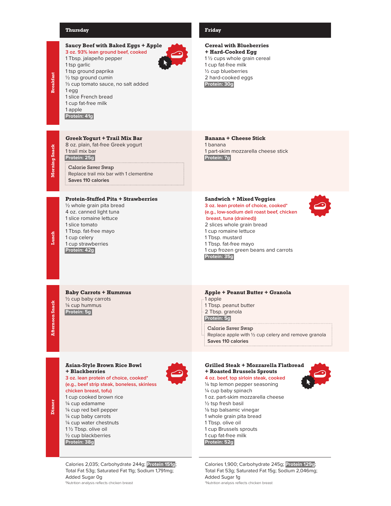#### **Thursday Friday**

### **Saucy Beef with Baked Eggs + Apple**

**3 oz. 93% lean ground beef, cooked** 1 Tbsp. jalapeño pepper 1 tsp garlic 1 tsp ground paprika ½ tsp ground cumin 1/3 cup tomato sauce, no salt added 1 egg 1 slice French bread 1 cup fat-free milk 1 apple **Protein: 41g**

**Greek Yogurt + Trail Mix Bar** 8 oz. plain, fat-free Greek yogurt

Calorie Saver Swap

1 trail mix bar **Protein: 25g**

**Saves 110 calories**

½ whole grain pita bread 4 oz. canned light tuna 1 slice romaine lettuce 1 slice tomato 1 Tbsp. fat-free mayo 1 cup celery 1 cup strawberries **Protein: 42g**

Replace trail mix bar with 1 clementine

**Protein-Stuffed Pita + Strawberries**

**Cereal with Blueberries + Hard-Cooked Egg** 1 ½ cups whole grain cereal 1 cup fat-free milk ½ cup blueberries 2 hard-cooked eggs **Protein: 30g**

**Banana + Cheese Stick** 1 banana 1 part-skim mozzarella cheese stick **Protein: 7g**

#### **Sandwich + Mixed Veggies**

**3 oz. lean protein of choice, cooked\* (e.g., low-sodium deli roast beef, chicken breast, tuna (drained))** 2 slices whole grain bread 1 cup romaine lettuce 1 Tbsp. mustard 1 Tbsp. fat-free mayo 1 cup frozen green beans and carrots **Protein: 35g**



**Afternoon Snack Lunch Afternoon** Snack

**Baby Carrots + Hummus** ½ cup baby carrots ¼ cup hummus **Protein: 5g**

**Dinner**

#### **Asian-Style Brown Rice Bowl + Blackberries**

**3 oz. lean protein of choice, cooked\* (e.g., beef strip steak, boneless, skinless chicken breast, tofu)** 1 cup cooked brown rice ¼ cup edamame ¼ cup red bell pepper ¼ cup baby carrots ¼ cup water chestnuts

1 ½ Tbsp. olive oil ½ cup blackberries **Protein: 38g**

Calories 2,035; Carbohydrate 244g; **Protein 151g**; Total Fat 53g; Saturated Fat 11g; Sodium 1,791mg; Added Sugar 0g<br>\*Nutrition analysis reflects chicken breast

# **Apple + Peanut Butter + Granola**

- 1 apple 1 Tbsp. peanut butter
- 2 Tbsp. granola
- **Protein: 5g**
- Calorie Saver Swap
- Replace apple with ½ cup celery and remove granola
- **Saves 110 calories**

#### **Grilled Steak + Mozzarella Flatbread + Roasted Brussels Sprouts**

# **4 oz. beef, top sirloin steak, cooked**

¼ tsp lemon pepper seasoning ¼ cup baby spinach 1 oz. part-skim mozzarella cheese ½ tsp fresh basil 1/8 tsp balsamic vinegar 1 whole grain pita bread 1 Tbsp. olive oil 1 cup Brussels sprouts 1 cup fat-free milk **Protein: 52g**

Calories 1,900; Carbohydrate 245g; **Protein 129g**; Total Fat 53g; Saturated Fat 15g; Sodium 2,046mg; Added Sugar 1g \*Nutrition analysis reflects chicken breast \*Nutrition analysis reflects chicken breast

Morning Snack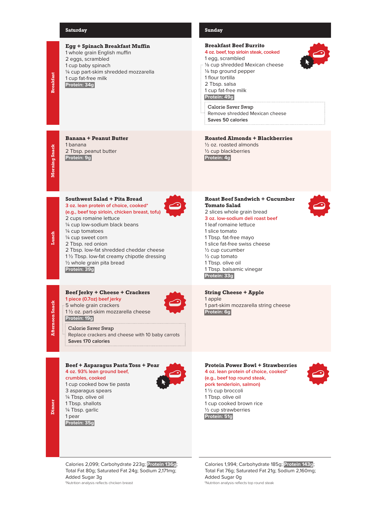#### **Saturday Sunday**



**Protein: 35g**

#### **Breakfast Beef Burrito**

#### **4 oz. beef, top sirloin steak, cooked**

- 1 egg, scrambled
- 1/8 cup shredded Mexican cheese
- 1/8 tsp ground pepper
- 1 flour tortilla 2 Tbsp. salsa
- 1 cup fat-free milk
- **Protein: 49g**
- Calorie Saver Swap Remove shredded Mexican cheese **Saves 50 calories**

#### **Roasted Almonds + Blackberries**

½ oz. roasted almonds ½ cup blackberries **Protein: 4g**

#### **Roast Beef Sandwich + Cucumber Tomato Salad** 2 slices whole grain bread

**3 oz. low-sodium deli roast beef** 1 leaf romaine lettuce 1 slice tomato 1 Tbsp. fat-free mayo 1 slice fat-free swiss cheese

½ cup cucumber ½ cup tomato 1 Tbsp. olive oil 1 Tbsp. balsamic vinegar **Protein: 33g**

**String Cheese + Apple** 1 apple 1 part-skim mozzarella string cheese **Protein: 6g**

### **Protein Power Bowl + Strawberries**

#### **4 oz. lean protein of choice, cooked\* (e.g., beef top round steak, pork tenderloin, salmon)** 1 ½ cup broccoli

1 Tbsp. olive oil 1 cup cooked brown rice ½ cup strawberries **Protein: 51g**



Calories 2,099; Carbohydrate 223g; **Protein 136g**; Total Fat 80g; Saturated Fat 24g; Sodium 2,171mg; Added Sugar 3g<br>\*Nutrition analysis reflects chicken breast

Calories 1,994; Carbohydrate 185g; **Protein 143g**; Total Fat 76g; Saturated Fat 21g; Sodium 2,160mg; Added Sugar 0g \*Nutrition analysis reflects top round steak